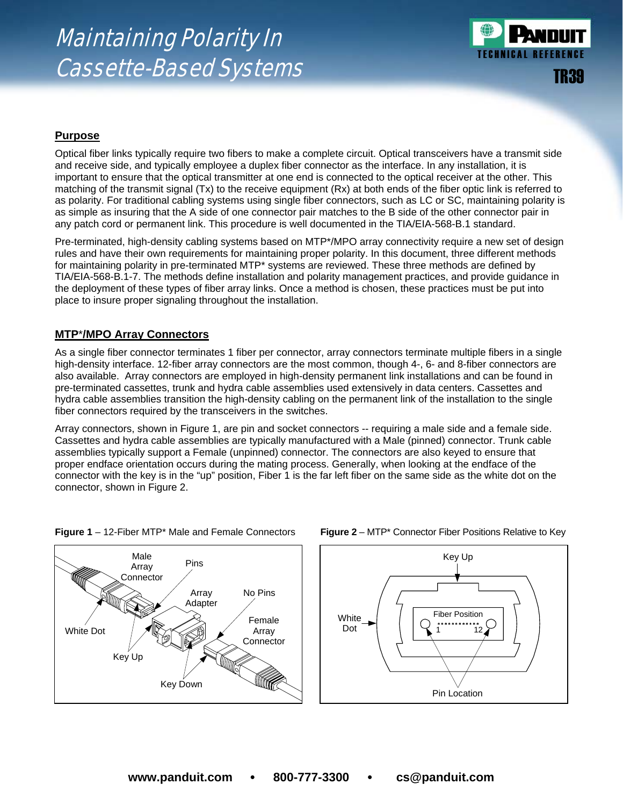

#### **Purpose**

Optical fiber links typically require two fibers to make a complete circuit. Optical transceivers have a transmit side and receive side, and typically employee a duplex fiber connector as the interface. In any installation, it is important to ensure that the optical transmitter at one end is connected to the optical receiver at the other. This matching of the transmit signal (Tx) to the receive equipment (Rx) at both ends of the fiber optic link is referred to as polarity. For traditional cabling systems using single fiber connectors, such as LC or SC, maintaining polarity is as simple as insuring that the A side of one connector pair matches to the B side of the other connector pair in any patch cord or permanent link. This procedure is well documented in the TIA/EIA-568-B.1 standard.

Pre-terminated, high-density cabling systems based on MTP\*/MPO array connectivity require a new set of design rules and have their own requirements for maintaining proper polarity. In this document, three different methods for maintaining polarity in pre-terminated MTP\* systems are reviewed. These three methods are defined by TIA/EIA-568-B.1-7. The methods define installation and polarity management practices, and provide guidance in the deployment of these types of fiber array links. Once a method is chosen, these practices must be put into place to insure proper signaling throughout the installation.

#### **MTP**\***/MPO Array Connectors**

As a single fiber connector terminates 1 fiber per connector, array connectors terminate multiple fibers in a single high-density interface. 12-fiber array connectors are the most common, though 4-, 6- and 8-fiber connectors are also available. Array connectors are employed in high-density permanent link installations and can be found in pre-terminated cassettes, trunk and hydra cable assemblies used extensively in data centers. Cassettes and hydra cable assemblies transition the high-density cabling on the permanent link of the installation to the single fiber connectors required by the transceivers in the switches.

Array connectors, shown in Figure 1, are pin and socket connectors -- requiring a male side and a female side. Cassettes and hydra cable assemblies are typically manufactured with a Male (pinned) connector. Trunk cable assemblies typically support a Female (unpinned) connector. The connectors are also keyed to ensure that proper endface orientation occurs during the mating process. Generally, when looking at the endface of the connector with the key is in the "up" position, Fiber 1 is the far left fiber on the same side as the white dot on the connector, shown in Figure 2.





#### **Figure 1** – 12-Fiber MTP\* Male and Female Connectors **Figure 2** – MTP\* Connector Fiber Positions Relative to Key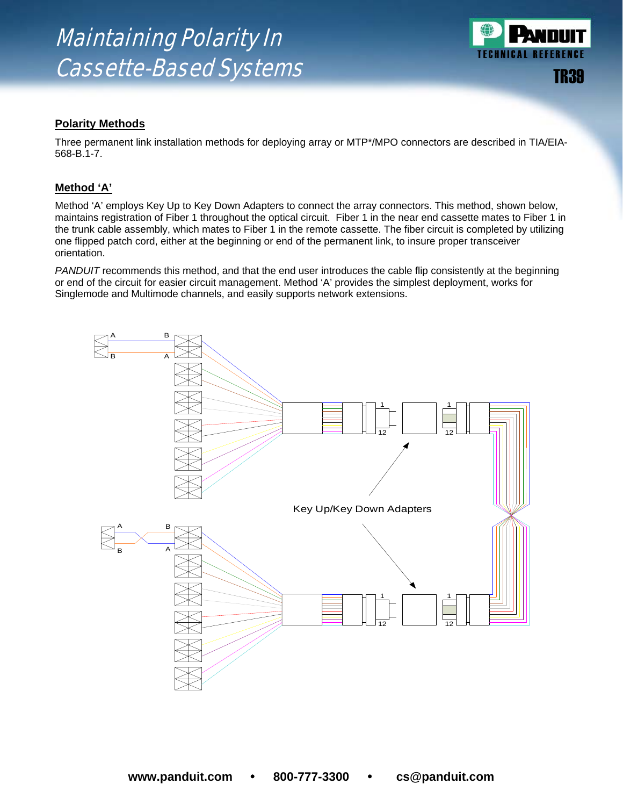

### **Polarity Methods**

Three permanent link installation methods for deploying array or MTP\*/MPO connectors are described in TIA/EIA-568-B.1-7.

### **Method 'A'**

Method 'A' employs Key Up to Key Down Adapters to connect the array connectors. This method, shown below, maintains registration of Fiber 1 throughout the optical circuit. Fiber 1 in the near end cassette mates to Fiber 1 in the trunk cable assembly, which mates to Fiber 1 in the remote cassette. The fiber circuit is completed by utilizing one flipped patch cord, either at the beginning or end of the permanent link, to insure proper transceiver orientation.

*PANDUIT* recommends this method, and that the end user introduces the cable flip consistently at the beginning or end of the circuit for easier circuit management. Method 'A' provides the simplest deployment, works for Singlemode and Multimode channels, and easily supports network extensions.

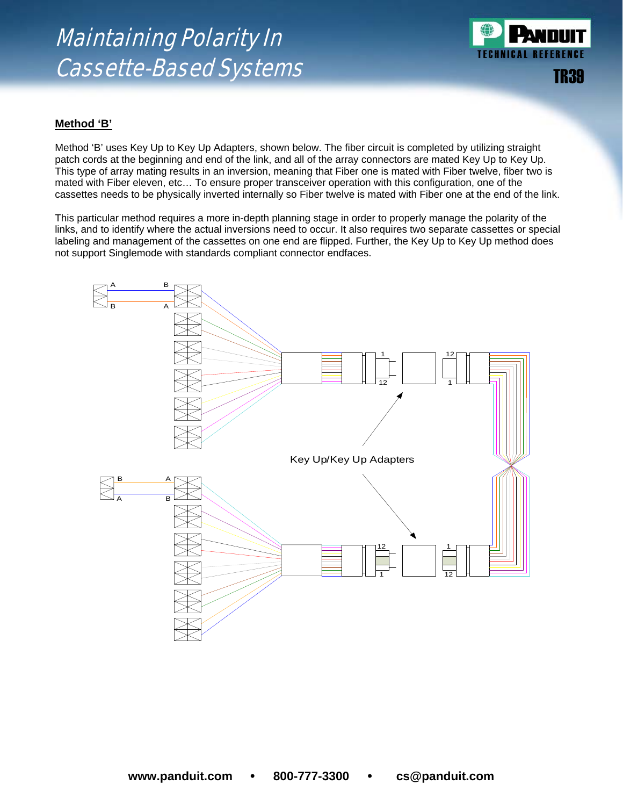

#### **Method 'B'**

Method 'B' uses Key Up to Key Up Adapters, shown below. The fiber circuit is completed by utilizing straight patch cords at the beginning and end of the link, and all of the array connectors are mated Key Up to Key Up. This type of array mating results in an inversion, meaning that Fiber one is mated with Fiber twelve, fiber two is mated with Fiber eleven, etc… To ensure proper transceiver operation with this configuration, one of the cassettes needs to be physically inverted internally so Fiber twelve is mated with Fiber one at the end of the link.

This particular method requires a more in-depth planning stage in order to properly manage the polarity of the links, and to identify where the actual inversions need to occur. It also requires two separate cassettes or special labeling and management of the cassettes on one end are flipped. Further, the Key Up to Key Up method does not support Singlemode with standards compliant connector endfaces.